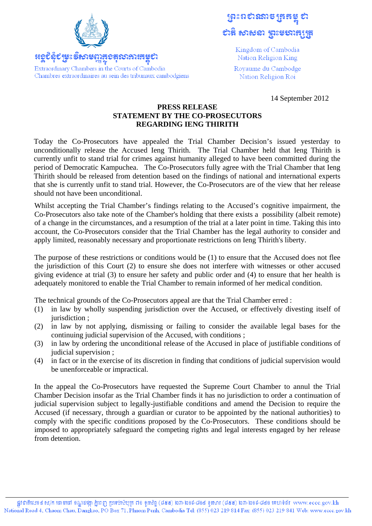

Extraordinary Chambers in the Courts of Cambodia

ត្រេះពស់រំរាង ត្រូងដូ 

> Kingdom of Cambodia Nation Religion King

Rovaume du Cambodge Nation Religion Roi

14 September 2012

## **PRESS RELEASE STATEMENT BY THE CO-PROSECUTORS REGARDING IENG THIRITH**

Today the Co-Prosecutors have appealed the Trial Chamber Decision's issued yesterday to unconditionally release the Accused Ieng Thirith. The Trial Chamber held that Ieng Thirith is currently unfit to stand trial for crimes against humanity alleged to have been committed during the period of Democratic Kampuchea. The Co-Prosecutors fully agree with the Trial Chamber that Ieng Thirith should be released from detention based on the findings of national and international experts that she is currently unfit to stand trial. However, the Co-Prosecutors are of the view that her release should not have been unconditional.

Whilst accepting the Trial Chamber's findings relating to the Accused's cognitive impairment, the Co-Prosecutors also take note of the Chamber's holding that there exists a possibility (albeit remote) of a change in the circumstances, and a resumption of the trial at a later point in time. Taking this into account, the Co-Prosecutors consider that the Trial Chamber has the legal authority to consider and apply limited, reasonably necessary and proportionate restrictions on Ieng Thirith's liberty.

The purpose of these restrictions or conditions would be (1) to ensure that the Accused does not flee the jurisdiction of this Court (2) to ensure she does not interfere with witnesses or other accused giving evidence at trial (3) to ensure her safety and public order and (4) to ensure that her health is adequately monitored to enable the Trial Chamber to remain informed of her medical condition.

The technical grounds of the Co-Prosecutors appeal are that the Trial Chamber erred :

- (1) in law by wholly suspending jurisdiction over the Accused, or effectively divesting itself of jurisdiction ;
- (2) in law by not applying, dismissing or failing to consider the available legal bases for the continuing judicial supervision of the Accused, with conditions ;
- (3) in law by ordering the unconditional release of the Accused in place of justifiable conditions of judicial supervision ;
- (4) in fact or in the exercise of its discretion in finding that conditions of judicial supervision would be unenforceable or impractical.

In the appeal the Co-Prosecutors have requested the Supreme Court Chamber to annul the Trial Chamber Decision insofar as the Trial Chamber finds it has no jurisdiction to order a continuation of judicial supervision subject to legally-justifiable conditions and amend the Decision to require the Accused (if necessary, through a guardian or curator to be appointed by the national authorities) to comply with the specific conditions proposed by the Co-Prosecutors. These conditions should be imposed to appropriately safeguard the competing rights and legal interests engaged by her release from detention.